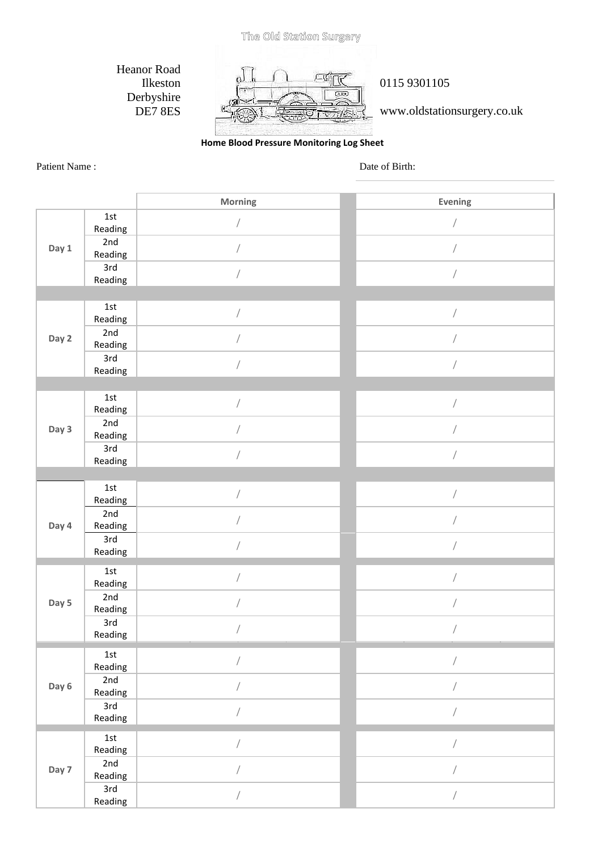## The Old Station Surgery

Heanor Road Ilkeston Derbyshire DE7 8ES



## 0115 9301105

www.oldstationsurgery.co.uk

 **Home Blood Pressure Monitoring Log Sheet**

Patient Name : Date of Birth:

| $1st$<br>$\sqrt{2}$<br>$\bigg)$<br>Reading<br>2nd<br>Day 1<br>$\sqrt{2}$<br>Reading<br>3rd<br>$\sqrt{2}$<br>Reading<br>$1st$<br>Reading<br>2nd<br>Day 2<br>Reading<br>3rd<br>Reading<br>$1st$<br>$\sqrt{2}$<br>$\frac{1}{2}$<br>Reading<br>2nd<br>Day 3<br>$\sqrt{2}$<br>/<br>Reading<br>3rd<br>Reading<br>1st<br>Reading<br>2nd<br>Reading<br>Day 4<br>3rd<br>Reading<br>$1st$<br>Reading<br>2nd<br>Day 5<br>Reading<br>3rd<br>Reading<br>1st<br>/<br>$\sqrt{2}$<br>Reading<br>2nd<br>Day 6<br>$\sqrt{2}$<br>$\sqrt{2}$<br>Reading<br>3rd<br>Reading<br>$1st$<br>/<br>Reading<br>2nd |       |         | Morning | Evening |
|---------------------------------------------------------------------------------------------------------------------------------------------------------------------------------------------------------------------------------------------------------------------------------------------------------------------------------------------------------------------------------------------------------------------------------------------------------------------------------------------------------------------------------------------------------------------------------------|-------|---------|---------|---------|
|                                                                                                                                                                                                                                                                                                                                                                                                                                                                                                                                                                                       |       |         |         |         |
|                                                                                                                                                                                                                                                                                                                                                                                                                                                                                                                                                                                       |       |         |         |         |
|                                                                                                                                                                                                                                                                                                                                                                                                                                                                                                                                                                                       |       |         |         |         |
|                                                                                                                                                                                                                                                                                                                                                                                                                                                                                                                                                                                       |       |         |         |         |
|                                                                                                                                                                                                                                                                                                                                                                                                                                                                                                                                                                                       |       |         |         |         |
|                                                                                                                                                                                                                                                                                                                                                                                                                                                                                                                                                                                       |       |         |         |         |
|                                                                                                                                                                                                                                                                                                                                                                                                                                                                                                                                                                                       |       |         |         |         |
|                                                                                                                                                                                                                                                                                                                                                                                                                                                                                                                                                                                       |       |         |         |         |
|                                                                                                                                                                                                                                                                                                                                                                                                                                                                                                                                                                                       |       |         |         |         |
|                                                                                                                                                                                                                                                                                                                                                                                                                                                                                                                                                                                       |       |         |         |         |
|                                                                                                                                                                                                                                                                                                                                                                                                                                                                                                                                                                                       |       |         |         |         |
|                                                                                                                                                                                                                                                                                                                                                                                                                                                                                                                                                                                       |       |         |         |         |
|                                                                                                                                                                                                                                                                                                                                                                                                                                                                                                                                                                                       |       |         |         |         |
|                                                                                                                                                                                                                                                                                                                                                                                                                                                                                                                                                                                       |       |         |         |         |
|                                                                                                                                                                                                                                                                                                                                                                                                                                                                                                                                                                                       |       |         |         |         |
|                                                                                                                                                                                                                                                                                                                                                                                                                                                                                                                                                                                       |       |         |         |         |
|                                                                                                                                                                                                                                                                                                                                                                                                                                                                                                                                                                                       |       |         |         |         |
|                                                                                                                                                                                                                                                                                                                                                                                                                                                                                                                                                                                       |       |         |         |         |
|                                                                                                                                                                                                                                                                                                                                                                                                                                                                                                                                                                                       |       |         |         |         |
|                                                                                                                                                                                                                                                                                                                                                                                                                                                                                                                                                                                       |       |         |         |         |
|                                                                                                                                                                                                                                                                                                                                                                                                                                                                                                                                                                                       |       |         |         |         |
|                                                                                                                                                                                                                                                                                                                                                                                                                                                                                                                                                                                       |       |         |         |         |
|                                                                                                                                                                                                                                                                                                                                                                                                                                                                                                                                                                                       |       |         |         |         |
|                                                                                                                                                                                                                                                                                                                                                                                                                                                                                                                                                                                       |       |         |         |         |
|                                                                                                                                                                                                                                                                                                                                                                                                                                                                                                                                                                                       |       |         |         |         |
|                                                                                                                                                                                                                                                                                                                                                                                                                                                                                                                                                                                       |       |         |         |         |
|                                                                                                                                                                                                                                                                                                                                                                                                                                                                                                                                                                                       | Day 7 |         |         |         |
|                                                                                                                                                                                                                                                                                                                                                                                                                                                                                                                                                                                       |       | Reading |         |         |
| 3rd<br>Reading                                                                                                                                                                                                                                                                                                                                                                                                                                                                                                                                                                        |       |         |         |         |